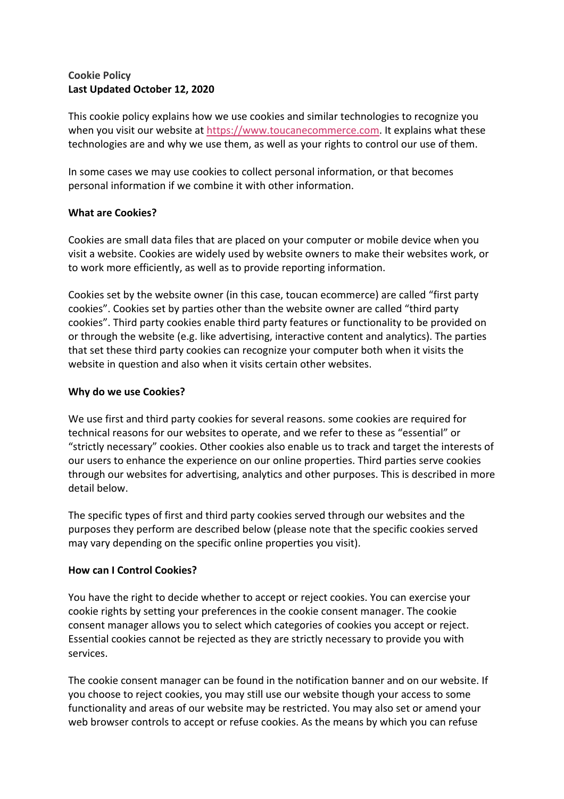# **Cookie Policy Last Updated October 12, 2020**

This cookie policy explains how we use cookies and similar technologies to recognize you when you visit our website at https://www.toucanecommerce.com. It explains what these technologies are and why we use them, as well as your rights to control our use of them.

In some cases we may use cookies to collect personal information, or that becomes personal information if we combine it with other information.

### **What are Cookies?**

Cookies are small data files that are placed on your computer or mobile device when you visit a website. Cookies are widely used by website owners to make their websites work, or to work more efficiently, as well as to provide reporting information.

Cookies set by the website owner (in this case, toucan ecommerce) are called "first party cookies". Cookies set by parties other than the website owner are called "third party cookies". Third party cookies enable third party features or functionality to be provided on or through the website (e.g. like advertising, interactive content and analytics). The parties that set these third party cookies can recognize your computer both when it visits the website in question and also when it visits certain other websites.

### **Why do we use Cookies?**

We use first and third party cookies for several reasons. some cookies are required for technical reasons for our websites to operate, and we refer to these as "essential" or "strictly necessary" cookies. Other cookies also enable us to track and target the interests of our users to enhance the experience on our online properties. Third parties serve cookies through our websites for advertising, analytics and other purposes. This is described in more detail below.

The specific types of first and third party cookies served through our websites and the purposes they perform are described below (please note that the specific cookies served may vary depending on the specific online properties you visit).

## **How can I Control Cookies?**

You have the right to decide whether to accept or reject cookies. You can exercise your cookie rights by setting your preferences in the cookie consent manager. The cookie consent manager allows you to select which categories of cookies you accept or reject. Essential cookies cannot be rejected as they are strictly necessary to provide you with services.

The cookie consent manager can be found in the notification banner and on our website. If you choose to reject cookies, you may still use our website though your access to some functionality and areas of our website may be restricted. You may also set or amend your web browser controls to accept or refuse cookies. As the means by which you can refuse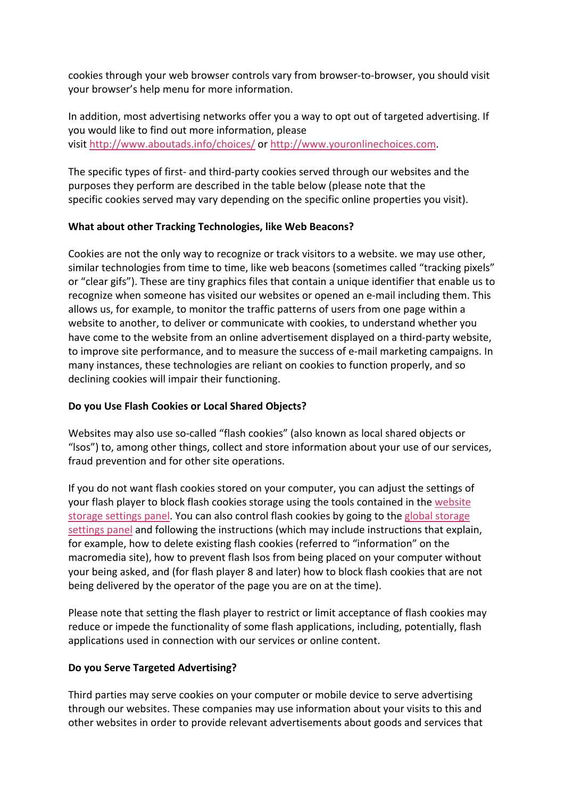cookies through your web browser controls vary from browser-to-browser, you should visit your browser's help menu for more information.

In addition, most advertising networks offer you a way to opt out of targeted advertising. If you would like to find out more information, please visit http://www.aboutads.info/choices/ or http://www.youronlinechoices.com.

The specific types of first- and third-party cookies served through our websites and the purposes they perform are described in the table below (please note that the specific cookies served may vary depending on the specific online properties you visit).

### **What about other Tracking Technologies, like Web Beacons?**

Cookies are not the only way to recognize or track visitors to a website. we may use other, similar technologies from time to time, like web beacons (sometimes called "tracking pixels" or "clear gifs"). These are tiny graphics files that contain a unique identifier that enable us to recognize when someone has visited our websites or opened an e-mail including them. This allows us, for example, to monitor the traffic patterns of users from one page within a website to another, to deliver or communicate with cookies, to understand whether you have come to the website from an online advertisement displayed on a third-party website, to improve site performance, and to measure the success of e-mail marketing campaigns. In many instances, these technologies are reliant on cookies to function properly, and so declining cookies will impair their functioning.

## **Do you Use Flash Cookies or Local Shared Objects?**

Websites may also use so-called "flash cookies" (also known as local shared objects or "lsos") to, among other things, collect and store information about your use of our services, fraud prevention and for other site operations.

If you do not want flash cookies stored on your computer, you can adjust the settings of your flash player to block flash cookies storage using the tools contained in the website storage settings panel. You can also control flash cookies by going to the global storage settings panel and following the instructions (which may include instructions that explain, for example, how to delete existing flash cookies (referred to "information" on the macromedia site), how to prevent flash lsos from being placed on your computer without your being asked, and (for flash player 8 and later) how to block flash cookies that are not being delivered by the operator of the page you are on at the time).

Please note that setting the flash player to restrict or limit acceptance of flash cookies may reduce or impede the functionality of some flash applications, including, potentially, flash applications used in connection with our services or online content.

## **Do you Serve Targeted Advertising?**

Third parties may serve cookies on your computer or mobile device to serve advertising through our websites. These companies may use information about your visits to this and other websites in order to provide relevant advertisements about goods and services that